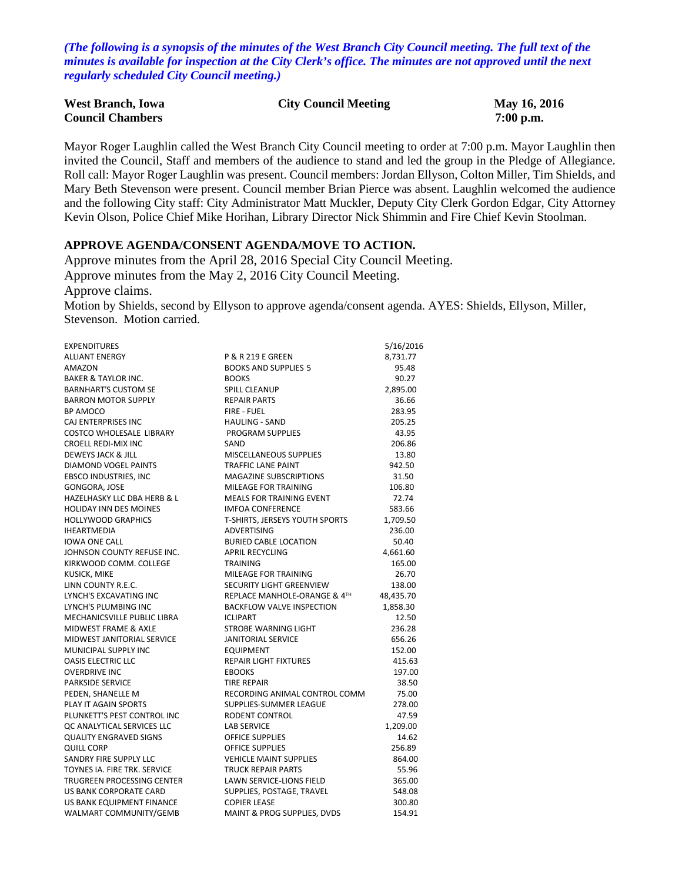*(The following is a synopsis of the minutes of the West Branch City Council meeting. The full text of the minutes is available for inspection at the City Clerk's office. The minutes are not approved until the next regularly scheduled City Council meeting.)*

| <b>West Branch, Iowa</b> | <b>City Council Meeting</b> | May 16, 2016 |
|--------------------------|-----------------------------|--------------|
| <b>Council Chambers</b>  |                             | $7:00$ p.m.  |

Mayor Roger Laughlin called the West Branch City Council meeting to order at 7:00 p.m. Mayor Laughlin then invited the Council, Staff and members of the audience to stand and led the group in the Pledge of Allegiance. Roll call: Mayor Roger Laughlin was present. Council members: Jordan Ellyson, Colton Miller, Tim Shields, and Mary Beth Stevenson were present. Council member Brian Pierce was absent. Laughlin welcomed the audience and the following City staff: City Administrator Matt Muckler, Deputy City Clerk Gordon Edgar, City Attorney Kevin Olson, Police Chief Mike Horihan, Library Director Nick Shimmin and Fire Chief Kevin Stoolman.

## **APPROVE AGENDA/CONSENT AGENDA/MOVE TO ACTION.**

Approve minutes from the April 28, 2016 Special City Council Meeting. Approve minutes from the May 2, 2016 City Council Meeting. Approve claims. Motion by Shields, second by Ellyson to approve agenda/consent agenda. AYES: Shields, Ellyson, Miller, Stevenson. Motion carried.

| <b>EXPENDITURES</b>                    |                                  | 5/16/2016 |
|----------------------------------------|----------------------------------|-----------|
| <b>ALLIANT ENERGY</b>                  | <b>P &amp; R 219 E GREEN</b>     | 8,731.77  |
| AMAZON                                 | <b>BOOKS AND SUPPLIES 5</b>      | 95.48     |
| <b>BAKER &amp; TAYLOR INC.</b>         | <b>BOOKS</b>                     | 90.27     |
| <b>BARNHART'S CUSTOM SE</b>            | <b>SPILL CLEANUP</b>             | 2,895.00  |
| <b>BARRON MOTOR SUPPLY</b>             | <b>REPAIR PARTS</b>              | 36.66     |
| BP AMOCO                               | <b>FIRE - FUEL</b>               | 283.95    |
| CAJ ENTERPRISES INC                    | <b>HAULING - SAND</b>            | 205.25    |
| <b>COSTCO WHOLESALE LIBRARY</b>        | PROGRAM SUPPLIES                 | 43.95     |
| <b>CROELL REDI-MIX INC</b>             | SAND                             | 206.86    |
| DEWEYS JACK & JILL                     | MISCELLANEOUS SUPPLIES           | 13.80     |
| DIAMOND VOGEL PAINTS                   | <b>TRAFFIC LANE PAINT</b>        | 942.50    |
| <b>EBSCO INDUSTRIES, INC</b>           | <b>MAGAZINE SUBSCRIPTIONS</b>    | 31.50     |
| GONGORA, JOSE                          | MILEAGE FOR TRAINING             | 106.80    |
| <b>HAZELHASKY LLC DBA HERB &amp; L</b> | <b>MEALS FOR TRAINING EVENT</b>  | 72.74     |
| <b>HOLIDAY INN DES MOINES</b>          | <b>IMFOA CONFERENCE</b>          | 583.66    |
| <b>HOLLYWOOD GRAPHICS</b>              | T-SHIRTS, JERSEYS YOUTH SPORTS   | 1,709.50  |
| <b>IHEARTMEDIA</b>                     | <b>ADVERTISING</b>               | 236.00    |
| <b>IOWA ONE CALL</b>                   | <b>BURIED CABLE LOCATION</b>     | 50.40     |
| JOHNSON COUNTY REFUSE INC.             | <b>APRIL RECYCLING</b>           | 4,661.60  |
| KIRKWOOD COMM. COLLEGE                 | <b>TRAINING</b>                  | 165.00    |
| KUSICK, MIKE                           | MILEAGE FOR TRAINING             | 26.70     |
| LINN COUNTY R.E.C.                     | SECURITY LIGHT GREENVIEW         | 138.00    |
| LYNCH'S EXCAVATING INC                 | REPLACE MANHOLE-ORANGE & 4TH     | 48,435.70 |
| LYNCH'S PLUMBING INC                   | <b>BACKFLOW VALVE INSPECTION</b> | 1,858.30  |
| MECHANICSVILLE PUBLIC LIBRA            | <b>ICLIPART</b>                  | 12.50     |
| <b>MIDWEST FRAME &amp; AXLE</b>        | <b>STROBE WARNING LIGHT</b>      | 236.28    |
| MIDWEST JANITORIAL SERVICE             | <b>JANITORIAL SERVICE</b>        | 656.26    |
| MUNICIPAL SUPPLY INC                   | <b>EQUIPMENT</b>                 | 152.00    |
| <b>OASIS ELECTRIC LLC</b>              | <b>REPAIR LIGHT FIXTURES</b>     | 415.63    |
| <b>OVERDRIVE INC</b>                   | <b>EBOOKS</b>                    | 197.00    |
| PARKSIDE SERVICE                       | <b>TIRE REPAIR</b>               | 38.50     |
| PEDEN, SHANELLE M                      | RECORDING ANIMAL CONTROL COMM    | 75.00     |
| PLAY IT AGAIN SPORTS                   | SUPPLIES-SUMMER LEAGUE           | 278.00    |
| PLUNKETT'S PEST CONTROL INC            | RODENT CONTROL                   | 47.59     |
| <b>QC ANALYTICAL SERVICES LLC</b>      | <b>LAB SERVICE</b>               | 1,209.00  |
| <b>QUALITY ENGRAVED SIGNS</b>          | <b>OFFICE SUPPLIES</b>           | 14.62     |
| QUILL CORP                             | <b>OFFICE SUPPLIES</b>           | 256.89    |
| SANDRY FIRE SUPPLY LLC                 | <b>VEHICLE MAINT SUPPLIES</b>    | 864.00    |
| TOYNES IA. FIRE TRK. SERVICE           | <b>TRUCK REPAIR PARTS</b>        | 55.96     |
| TRUGREEN PROCESSING CENTER             | LAWN SERVICE-LIONS FIELD         | 365.00    |
| US BANK CORPORATE CARD                 | SUPPLIES, POSTAGE, TRAVEL        | 548.08    |
| US BANK EQUIPMENT FINANCE              | <b>COPIER LEASE</b>              | 300.80    |
| WALMART COMMUNITY/GEMB                 | MAINT & PROG SUPPLIES, DVDS      | 154.91    |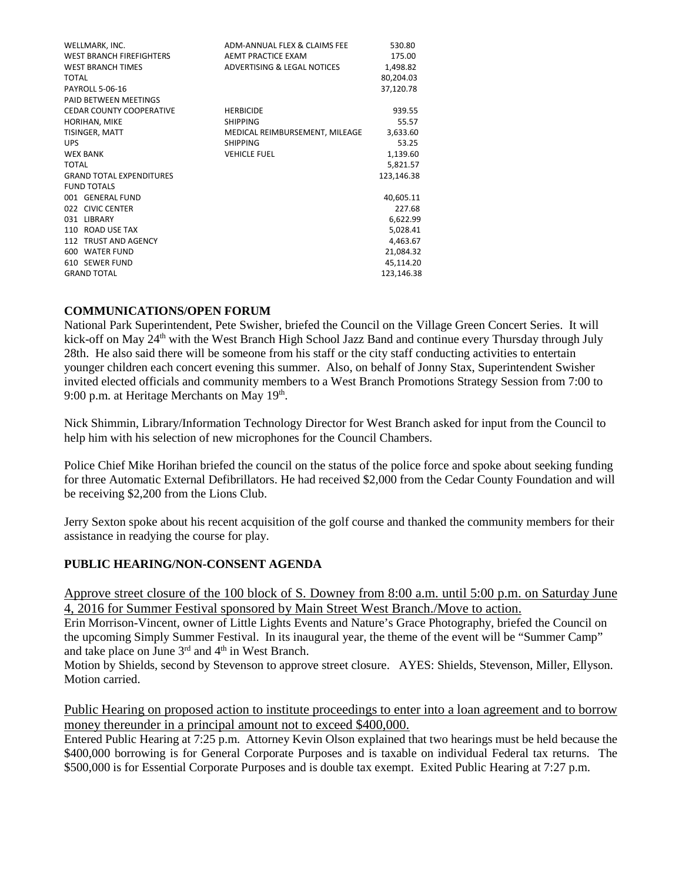| WELLMARK, INC.                  | ADM-ANNUAL FLEX & CLAIMS FEE   | 530.80     |
|---------------------------------|--------------------------------|------------|
| <b>WEST BRANCH FIREFIGHTERS</b> | AEMT PRACTICE EXAM             | 175.00     |
| <b>WEST BRANCH TIMES</b>        | ADVERTISING & LEGAL NOTICES    | 1,498.82   |
| TOTAL                           |                                | 80,204.03  |
| <b>PAYROLL 5-06-16</b>          |                                | 37,120.78  |
| PAID BETWEEN MEETINGS           |                                |            |
| <b>CEDAR COUNTY COOPERATIVE</b> | <b>HERBICIDE</b>               | 939.55     |
| HORIHAN, MIKE                   | <b>SHIPPING</b>                | 55.57      |
| TISINGER, MATT                  | MEDICAL REIMBURSEMENT, MILEAGE | 3,633.60   |
| <b>UPS</b>                      | <b>SHIPPING</b>                | 53.25      |
| <b>WEX BANK</b>                 | <b>VEHICLE FUEL</b>            | 1,139.60   |
| <b>TOTAL</b>                    |                                | 5,821.57   |
| <b>GRAND TOTAL EXPENDITURES</b> |                                | 123,146.38 |
| <b>FUND TOTALS</b>              |                                |            |
| 001 GENERAL FUND                |                                | 40,605.11  |
| 022 CIVIC CENTER                |                                | 227.68     |
| 031 LIBRARY                     |                                | 6,622.99   |
| 110 ROAD USE TAX                |                                | 5,028.41   |
| 112 TRUST AND AGENCY            |                                | 4,463.67   |
| 600 WATER FUND                  |                                | 21,084.32  |
| 610 SEWER FUND                  |                                | 45,114.20  |
| <b>GRAND TOTAL</b>              |                                | 123,146.38 |

## **COMMUNICATIONS/OPEN FORUM**

National Park Superintendent, Pete Swisher, briefed the Council on the Village Green Concert Series. It will kick-off on May 24<sup>th</sup> with the West Branch High School Jazz Band and continue every Thursday through July 28th. He also said there will be someone from his staff or the city staff conducting activities to entertain younger children each concert evening this summer. Also, on behalf of Jonny Stax, Superintendent Swisher invited elected officials and community members to a West Branch Promotions Strategy Session from 7:00 to 9:00 p.m. at Heritage Merchants on May  $19<sup>th</sup>$ .

Nick Shimmin, Library/Information Technology Director for West Branch asked for input from the Council to help him with his selection of new microphones for the Council Chambers.

Police Chief Mike Horihan briefed the council on the status of the police force and spoke about seeking funding for three Automatic External Defibrillators. He had received \$2,000 from the Cedar County Foundation and will be receiving \$2,200 from the Lions Club.

Jerry Sexton spoke about his recent acquisition of the golf course and thanked the community members for their assistance in readying the course for play.

## **PUBLIC HEARING/NON-CONSENT AGENDA**

Approve street closure of the 100 block of S. Downey from 8:00 a.m. until 5:00 p.m. on Saturday June 4, 2016 for Summer Festival sponsored by Main Street West Branch./Move to action.

Erin Morrison-Vincent, owner of Little Lights Events and Nature's Grace Photography, briefed the Council on the upcoming Simply Summer Festival. In its inaugural year, the theme of the event will be "Summer Camp" and take place on June  $3<sup>rd</sup>$  and  $4<sup>th</sup>$  in West Branch.

Motion by Shields, second by Stevenson to approve street closure. AYES: Shields, Stevenson, Miller, Ellyson. Motion carried.

## Public Hearing on proposed action to institute proceedings to enter into a loan agreement and to borrow money thereunder in a principal amount not to exceed \$400,000.

Entered Public Hearing at 7:25 p.m. Attorney Kevin Olson explained that two hearings must be held because the \$400,000 borrowing is for General Corporate Purposes and is taxable on individual Federal tax returns. The \$500,000 is for Essential Corporate Purposes and is double tax exempt. Exited Public Hearing at 7:27 p.m.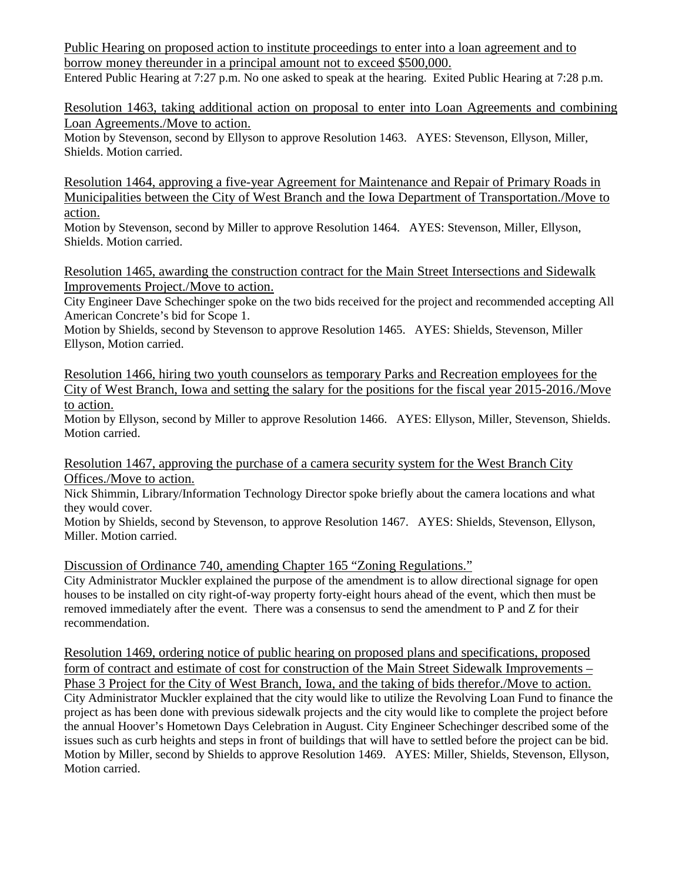Public Hearing on proposed action to institute proceedings to enter into a loan agreement and to borrow money thereunder in a principal amount not to exceed \$500,000.

Entered Public Hearing at 7:27 p.m. No one asked to speak at the hearing. Exited Public Hearing at 7:28 p.m.

Resolution 1463, taking additional action on proposal to enter into Loan Agreements and combining Loan Agreements./Move to action.

Motion by Stevenson, second by Ellyson to approve Resolution 1463. AYES: Stevenson, Ellyson, Miller, Shields. Motion carried.

Resolution 1464, approving a five-year Agreement for Maintenance and Repair of Primary Roads in Municipalities between the City of West Branch and the Iowa Department of Transportation./Move to action.

Motion by Stevenson, second by Miller to approve Resolution 1464. AYES: Stevenson, Miller, Ellyson, Shields. Motion carried.

Resolution 1465, awarding the construction contract for the Main Street Intersections and Sidewalk Improvements Project./Move to action.

City Engineer Dave Schechinger spoke on the two bids received for the project and recommended accepting All American Concrete's bid for Scope 1.

Motion by Shields, second by Stevenson to approve Resolution 1465. AYES: Shields, Stevenson, Miller Ellyson, Motion carried.

Resolution 1466, hiring two youth counselors as temporary Parks and Recreation employees for the City of West Branch, Iowa and setting the salary for the positions for the fiscal year 2015-2016./Move to action.

Motion by Ellyson, second by Miller to approve Resolution 1466. AYES: Ellyson, Miller, Stevenson, Shields. Motion carried.

Resolution 1467, approving the purchase of a camera security system for the West Branch City Offices./Move to action.

Nick Shimmin, Library/Information Technology Director spoke briefly about the camera locations and what they would cover.

Motion by Shields, second by Stevenson, to approve Resolution 1467. AYES: Shields, Stevenson, Ellyson, Miller. Motion carried.

Discussion of Ordinance 740, amending Chapter 165 "Zoning Regulations."

City Administrator Muckler explained the purpose of the amendment is to allow directional signage for open houses to be installed on city right-of-way property forty-eight hours ahead of the event, which then must be removed immediately after the event. There was a consensus to send the amendment to P and Z for their recommendation.

Resolution 1469, ordering notice of public hearing on proposed plans and specifications, proposed form of contract and estimate of cost for construction of the Main Street Sidewalk Improvements – Phase 3 Project for the City of West Branch, Iowa, and the taking of bids therefor./Move to action. City Administrator Muckler explained that the city would like to utilize the Revolving Loan Fund to finance the project as has been done with previous sidewalk projects and the city would like to complete the project before the annual Hoover's Hometown Days Celebration in August. City Engineer Schechinger described some of the issues such as curb heights and steps in front of buildings that will have to settled before the project can be bid. Motion by Miller, second by Shields to approve Resolution 1469. AYES: Miller, Shields, Stevenson, Ellyson, Motion carried.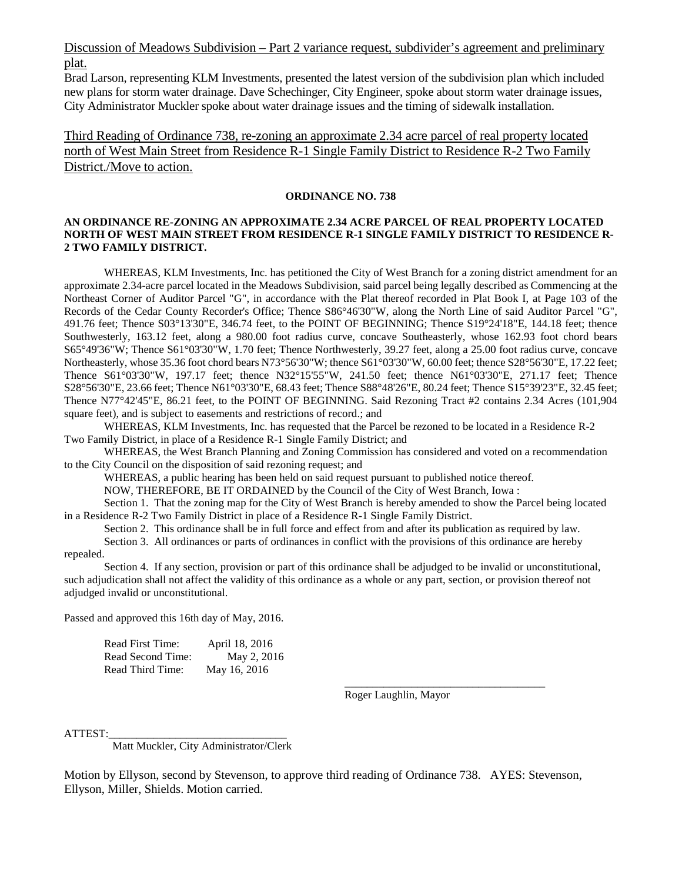Discussion of Meadows Subdivision – Part 2 variance request, subdivider's agreement and preliminary plat.

Brad Larson, representing KLM Investments, presented the latest version of the subdivision plan which included new plans for storm water drainage. Dave Schechinger, City Engineer, spoke about storm water drainage issues, City Administrator Muckler spoke about water drainage issues and the timing of sidewalk installation.

Third Reading of Ordinance 738, re-zoning an approximate 2.34 acre parcel of real property located north of West Main Street from Residence R-1 Single Family District to Residence R-2 Two Family District./Move to action.

#### **ORDINANCE NO. 738**

#### **AN ORDINANCE RE-ZONING AN APPROXIMATE 2.34 ACRE PARCEL OF REAL PROPERTY LOCATED NORTH OF WEST MAIN STREET FROM RESIDENCE R-1 SINGLE FAMILY DISTRICT TO RESIDENCE R-2 TWO FAMILY DISTRICT.**

WHEREAS, KLM Investments, Inc. has petitioned the City of West Branch for a zoning district amendment for an approximate 2.34-acre parcel located in the Meadows Subdivision, said parcel being legally described as Commencing at the Northeast Corner of Auditor Parcel "G", in accordance with the Plat thereof recorded in Plat Book I, at Page 103 of the Records of the Cedar County Recorder's Office; Thence S86°46'30"W, along the North Line of said Auditor Parcel "G", 491.76 feet; Thence S03°13'30"E, 346.74 feet, to the POINT OF BEGINNING; Thence S19°24'18"E, 144.18 feet; thence Southwesterly, 163.12 feet, along a 980.00 foot radius curve, concave Southeasterly, whose 162.93 foot chord bears S65°49'36"W; Thence S61°03'30"W, 1.70 feet; Thence Northwesterly, 39.27 feet, along a 25.00 foot radius curve, concave Northeasterly, whose 35.36 foot chord bears N73°56'30"W; thence S61°03'30"W, 60.00 feet; thence S28°56'30"E, 17.22 feet; Thence S61°03'30"W, 197.17 feet; thence N32°15'55"W, 241.50 feet; thence N61°03'30"E, 271.17 feet; Thence S28°56'30"E, 23.66 feet; Thence N61°03'30"E, 68.43 feet; Thence S88°48'26"E, 80.24 feet; Thence S15°39'23"E, 32.45 feet; Thence N77°42'45"E, 86.21 feet, to the POINT OF BEGINNING. Said Rezoning Tract #2 contains 2.34 Acres (101,904 square feet), and is subject to easements and restrictions of record.; and

WHEREAS, KLM Investments, Inc. has requested that the Parcel be rezoned to be located in a Residence R-2 Two Family District, in place of a Residence R-1 Single Family District; and

WHEREAS, the West Branch Planning and Zoning Commission has considered and voted on a recommendation to the City Council on the disposition of said rezoning request; and

WHEREAS, a public hearing has been held on said request pursuant to published notice thereof.

NOW, THEREFORE, BE IT ORDAINED by the Council of the City of West Branch, Iowa :

Section 1. That the zoning map for the City of West Branch is hereby amended to show the Parcel being located in a Residence R-2 Two Family District in place of a Residence R-1 Single Family District.

Section 2. This ordinance shall be in full force and effect from and after its publication as required by law.

Section 3. All ordinances or parts of ordinances in conflict with the provisions of this ordinance are hereby repealed.

Section 4. If any section, provision or part of this ordinance shall be adjudged to be invalid or unconstitutional, such adjudication shall not affect the validity of this ordinance as a whole or any part, section, or provision thereof not adjudged invalid or unconstitutional.

Passed and approved this 16th day of May, 2016.

| Read First Time:  | April 18, 2016 |
|-------------------|----------------|
| Read Second Time: | May 2, 2016    |
| Read Third Time:  | May 16, 2016   |

Roger Laughlin, Mayor

\_\_\_\_\_\_\_\_\_\_\_\_\_\_\_\_\_\_\_\_\_\_\_\_\_\_\_\_\_\_\_\_\_\_\_\_

ATTEST:

Matt Muckler, City Administrator/Clerk

Motion by Ellyson, second by Stevenson, to approve third reading of Ordinance 738. AYES: Stevenson, Ellyson, Miller, Shields. Motion carried.